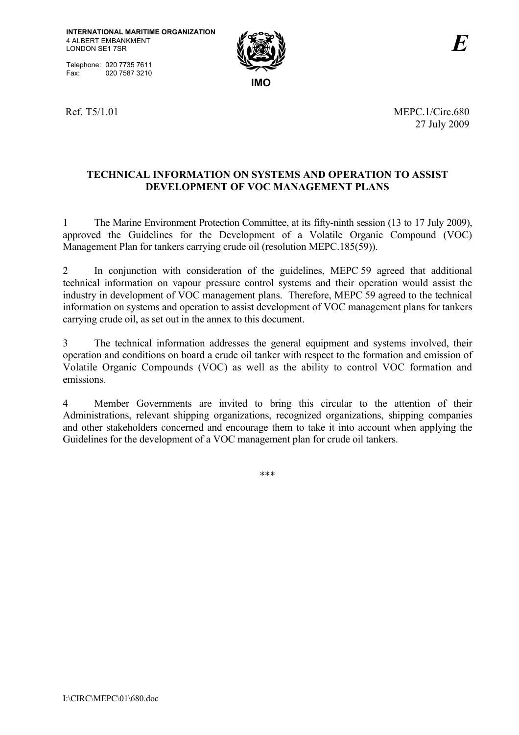Telephone: 020 7735 7611<br>Fax: 020 7587 3210 020 7587 3210



Ref. T5/1.01 MEPC. 1/Circ.680 27 July 2009

## **TECHNICAL INFORMATION ON SYSTEMS AND OPERATION TO ASSIST DEVELOPMENT OF VOC MANAGEMENT PLANS**

1 The Marine Environment Protection Committee, at its fifty-ninth session (13 to 17 July 2009), approved the Guidelines for the Development of a Volatile Organic Compound (VOC) Management Plan for tankers carrying crude oil (resolution MEPC.185(59)).

2 In conjunction with consideration of the guidelines, MEPC 59 agreed that additional technical information on vapour pressure control systems and their operation would assist the industry in development of VOC management plans. Therefore, MEPC 59 agreed to the technical information on systems and operation to assist development of VOC management plans for tankers carrying crude oil, as set out in the annex to this document.

3 The technical information addresses the general equipment and systems involved, their operation and conditions on board a crude oil tanker with respect to the formation and emission of Volatile Organic Compounds (VOC) as well as the ability to control VOC formation and emissions.

4 Member Governments are invited to bring this circular to the attention of their Administrations, relevant shipping organizations, recognized organizations, shipping companies and other stakeholders concerned and encourage them to take it into account when applying the Guidelines for the development of a VOC management plan for crude oil tankers.

\*\*\*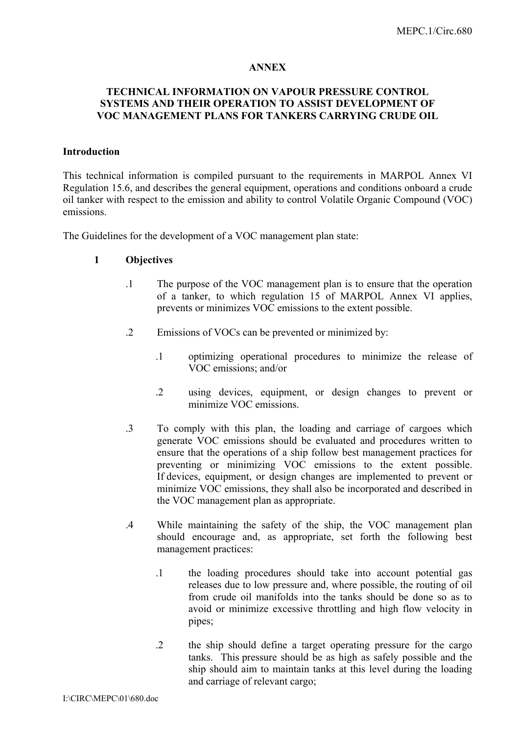#### **ANNEX**

### **TECHNICAL INFORMATION ON VAPOUR PRESSURE CONTROL SYSTEMS AND THEIR OPERATION TO ASSIST DEVELOPMENT OF VOC MANAGEMENT PLANS FOR TANKERS CARRYING CRUDE OIL**

#### **Introduction**

This technical information is compiled pursuant to the requirements in MARPOL Annex VI Regulation 15.6, and describes the general equipment, operations and conditions onboard a crude oil tanker with respect to the emission and ability to control Volatile Organic Compound (VOC) emissions.

The Guidelines for the development of a VOC management plan state:

#### **1 Objectives**

- .1 The purpose of the VOC management plan is to ensure that the operation of a tanker, to which regulation 15 of MARPOL Annex VI applies, prevents or minimizes VOC emissions to the extent possible.
- .2 Emissions of VOCs can be prevented or minimized by:
	- .1 optimizing operational procedures to minimize the release of VOC emissions; and/or
	- .2 using devices, equipment, or design changes to prevent or minimize VOC emissions.
- .3 To comply with this plan, the loading and carriage of cargoes which generate VOC emissions should be evaluated and procedures written to ensure that the operations of a ship follow best management practices for preventing or minimizing VOC emissions to the extent possible. If devices, equipment, or design changes are implemented to prevent or minimize VOC emissions, they shall also be incorporated and described in the VOC management plan as appropriate.
- .4 While maintaining the safety of the ship, the VOC management plan should encourage and, as appropriate, set forth the following best management practices:
	- .1 the loading procedures should take into account potential gas releases due to low pressure and, where possible, the routing of oil from crude oil manifolds into the tanks should be done so as to avoid or minimize excessive throttling and high flow velocity in pipes;
	- .2 the ship should define a target operating pressure for the cargo tanks. This pressure should be as high as safely possible and the ship should aim to maintain tanks at this level during the loading and carriage of relevant cargo;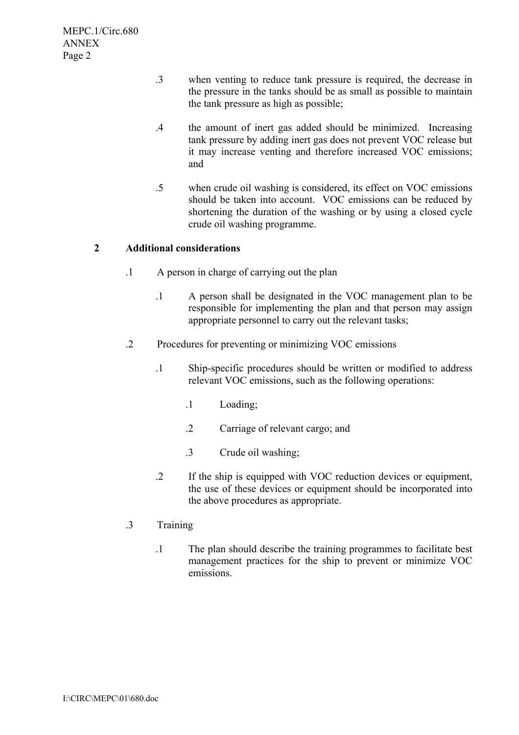- .3 when venting to reduce tank pressure is required, the decrease in the pressure in the tanks should be as small as possible to maintain the tank pressure as high as possible;
- .4 the amount of inert gas added should be minimized. Increasing tank pressure by adding inert gas does not prevent VOC release but it may increase venting and therefore increased VOC emissions; and
- .5 when crude oil washing is considered, its effect on VOC emissions should be taken into account. VOC emissions can be reduced by shortening the duration of the washing or by using a closed cycle crude oil washing programme.

### **2 Additional considerations**

- .1 A person in charge of carrying out the plan
	- .1 A person shall be designated in the VOC management plan to be responsible for implementing the plan and that person may assign appropriate personnel to carry out the relevant tasks;
- .2 Procedures for preventing or minimizing VOC emissions
	- .1 Ship-specific procedures should be written or modified to address relevant VOC emissions, such as the following operations:
		- .1 Loading;
		- .2 Carriage of relevant cargo; and
		- .3 Crude oil washing;
	- .2 If the ship is equipped with VOC reduction devices or equipment, the use of these devices or equipment should be incorporated into the above procedures as appropriate.

#### .3 Training

.1 The plan should describe the training programmes to facilitate best management practices for the ship to prevent or minimize VOC emissions.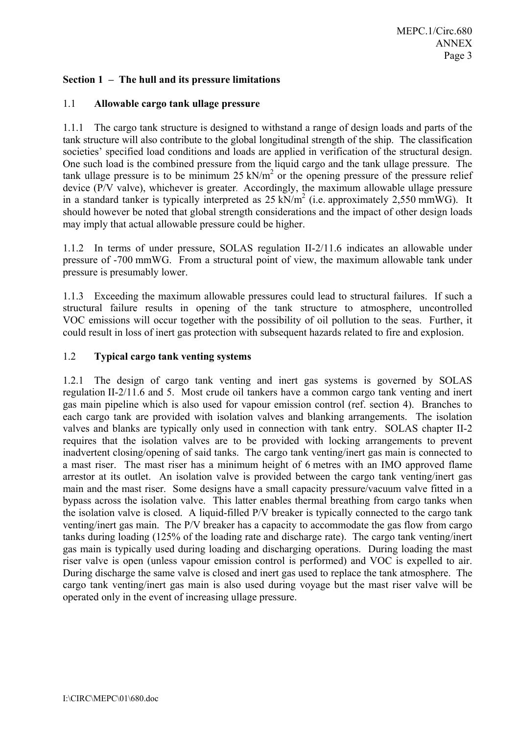## **Section 1 – The hull and its pressure limitations**

### 1.1 **Allowable cargo tank ullage pressure**

1.1.1 The cargo tank structure is designed to withstand a range of design loads and parts of the tank structure will also contribute to the global longitudinal strength of the ship. The classification societies' specified load conditions and loads are applied in verification of the structural design. One such load is the combined pressure from the liquid cargo and the tank ullage pressure. The tank ullage pressure is to be minimum  $25 \text{ kN/m}^2$  or the opening pressure of the pressure relief device (P/V valve), whichever is greater. Accordingly, the maximum allowable ullage pressure in a standard tanker is typically interpreted as  $25 \text{ kN/m}^2$  (i.e. approximately 2,550 mmWG). It should however be noted that global strength considerations and the impact of other design loads may imply that actual allowable pressure could be higher.

1.1.2 In terms of under pressure, SOLAS regulation II-2/11.6 indicates an allowable under pressure of -700 mmWG. From a structural point of view, the maximum allowable tank under pressure is presumably lower.

1.1.3 Exceeding the maximum allowable pressures could lead to structural failures. If such a structural failure results in opening of the tank structure to atmosphere, uncontrolled VOC emissions will occur together with the possibility of oil pollution to the seas. Further, it could result in loss of inert gas protection with subsequent hazards related to fire and explosion.

### 1.2 **Typical cargo tank venting systems**

1.2.1 The design of cargo tank venting and inert gas systems is governed by SOLAS regulation II-2/11.6 and 5. Most crude oil tankers have a common cargo tank venting and inert gas main pipeline which is also used for vapour emission control (ref. section 4). Branches to each cargo tank are provided with isolation valves and blanking arrangements. The isolation valves and blanks are typically only used in connection with tank entry. SOLAS chapter II-2 requires that the isolation valves are to be provided with locking arrangements to prevent inadvertent closing/opening of said tanks. The cargo tank venting/inert gas main is connected to a mast riser. The mast riser has a minimum height of 6 metres with an IMO approved flame arrestor at its outlet. An isolation valve is provided between the cargo tank venting/inert gas main and the mast riser. Some designs have a small capacity pressure/vacuum valve fitted in a bypass across the isolation valve. This latter enables thermal breathing from cargo tanks when the isolation valve is closed. A liquid-filled P/V breaker is typically connected to the cargo tank venting/inert gas main. The P/V breaker has a capacity to accommodate the gas flow from cargo tanks during loading (125% of the loading rate and discharge rate). The cargo tank venting/inert gas main is typically used during loading and discharging operations. During loading the mast riser valve is open (unless vapour emission control is performed) and VOC is expelled to air. During discharge the same valve is closed and inert gas used to replace the tank atmosphere. The cargo tank venting/inert gas main is also used during voyage but the mast riser valve will be operated only in the event of increasing ullage pressure.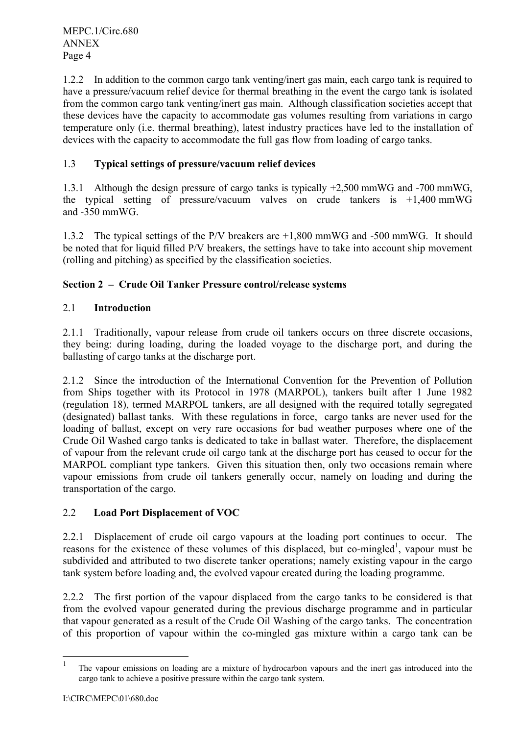1.2.2 In addition to the common cargo tank venting/inert gas main, each cargo tank is required to have a pressure/vacuum relief device for thermal breathing in the event the cargo tank is isolated from the common cargo tank venting/inert gas main. Although classification societies accept that these devices have the capacity to accommodate gas volumes resulting from variations in cargo temperature only (i.e. thermal breathing), latest industry practices have led to the installation of devices with the capacity to accommodate the full gas flow from loading of cargo tanks.

# 1.3 **Typical settings of pressure/vacuum relief devices**

1.3.1 Although the design pressure of cargo tanks is typically +2,500 mmWG and -700 mmWG, the typical setting of pressure/vacuum valves on crude tankers is  $+1,400$  mmWG and -350 mmWG.

1.3.2 The typical settings of the P/V breakers are +1,800 mmWG and -500 mmWG. It should be noted that for liquid filled P/V breakers, the settings have to take into account ship movement (rolling and pitching) as specified by the classification societies.

### **Section 2 – Crude Oil Tanker Pressure control/release systems**

### 2.1 **Introduction**

2.1.1 Traditionally, vapour release from crude oil tankers occurs on three discrete occasions, they being: during loading, during the loaded voyage to the discharge port, and during the ballasting of cargo tanks at the discharge port.

2.1.2 Since the introduction of the International Convention for the Prevention of Pollution from Ships together with its Protocol in 1978 (MARPOL), tankers built after 1 June 1982 (regulation 18), termed MARPOL tankers, are all designed with the required totally segregated (designated) ballast tanks. With these regulations in force, cargo tanks are never used for the loading of ballast, except on very rare occasions for bad weather purposes where one of the Crude Oil Washed cargo tanks is dedicated to take in ballast water. Therefore, the displacement of vapour from the relevant crude oil cargo tank at the discharge port has ceased to occur for the MARPOL compliant type tankers. Given this situation then, only two occasions remain where vapour emissions from crude oil tankers generally occur, namely on loading and during the transportation of the cargo.

### 2.2 **Load Port Displacement of VOC**

2.2.1 Displacement of crude oil cargo vapours at the loading port continues to occur. The reasons for the existence of these volumes of this displaced, but co-mingled<sup>1</sup>, vapour must be subdivided and attributed to two discrete tanker operations; namely existing vapour in the cargo tank system before loading and, the evolved vapour created during the loading programme.

2.2.2 The first portion of the vapour displaced from the cargo tanks to be considered is that from the evolved vapour generated during the previous discharge programme and in particular that vapour generated as a result of the Crude Oil Washing of the cargo tanks. The concentration of this proportion of vapour within the co-mingled gas mixture within a cargo tank can be

 $\mathbf{1}$ <sup>1</sup> The vapour emissions on loading are a mixture of hydrocarbon vapours and the inert gas introduced into the cargo tank to achieve a positive pressure within the cargo tank system.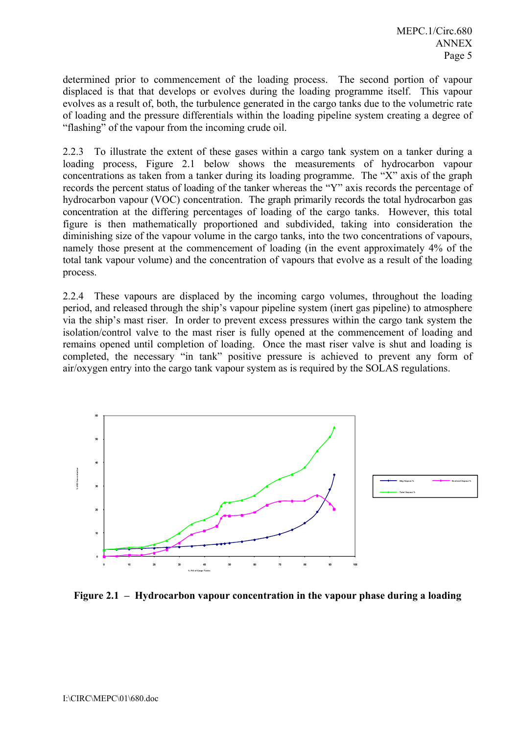determined prior to commencement of the loading process. The second portion of vapour displaced is that that develops or evolves during the loading programme itself. This vapour evolves as a result of, both, the turbulence generated in the cargo tanks due to the volumetric rate of loading and the pressure differentials within the loading pipeline system creating a degree of "flashing" of the vapour from the incoming crude oil.

2.2.3 To illustrate the extent of these gases within a cargo tank system on a tanker during a loading process, Figure 2.1 below shows the measurements of hydrocarbon vapour concentrations as taken from a tanker during its loading programme. The "X" axis of the graph records the percent status of loading of the tanker whereas the "Y" axis records the percentage of hydrocarbon vapour (VOC) concentration. The graph primarily records the total hydrocarbon gas concentration at the differing percentages of loading of the cargo tanks. However, this total figure is then mathematically proportioned and subdivided, taking into consideration the diminishing size of the vapour volume in the cargo tanks, into the two concentrations of vapours, namely those present at the commencement of loading (in the event approximately 4% of the total tank vapour volume) and the concentration of vapours that evolve as a result of the loading process.

2.2.4 These vapours are displaced by the incoming cargo volumes, throughout the loading period, and released through the ship's vapour pipeline system (inert gas pipeline) to atmosphere via the ship's mast riser. In order to prevent excess pressures within the cargo tank system the isolation/control valve to the mast riser is fully opened at the commencement of loading and remains opened until completion of loading. Once the mast riser valve is shut and loading is completed, the necessary "in tank" positive pressure is achieved to prevent any form of air/oxygen entry into the cargo tank vapour system as is required by the SOLAS regulations.



**Figure 2.1 – Hydrocarbon vapour concentration in the vapour phase during a loading**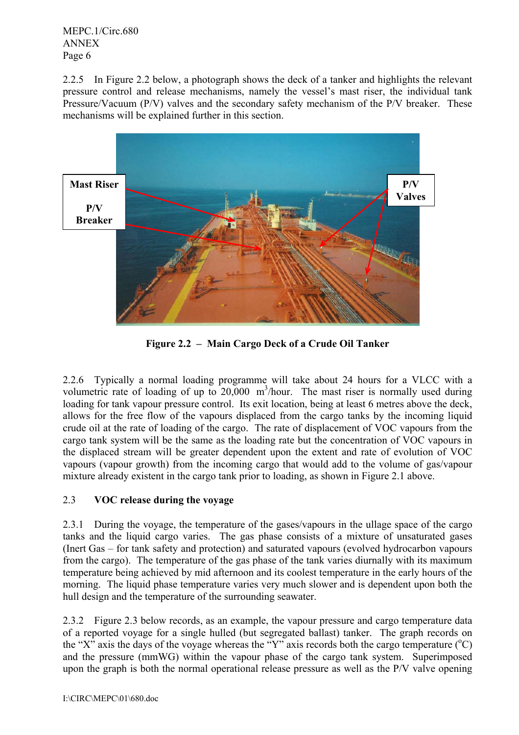2.2.5 In Figure 2.2 below, a photograph shows the deck of a tanker and highlights the relevant pressure control and release mechanisms, namely the vessel's mast riser, the individual tank Pressure/Vacuum (P/V) valves and the secondary safety mechanism of the P/V breaker. These mechanisms will be explained further in this section.



**Figure 2.2 – Main Cargo Deck of a Crude Oil Tanker** 

2.2.6 Typically a normal loading programme will take about 24 hours for a VLCC with a volumetric rate of loading of up to  $20,000$  m<sup>3</sup>/hour. The mast riser is normally used during loading for tank vapour pressure control. Its exit location, being at least 6 metres above the deck, allows for the free flow of the vapours displaced from the cargo tanks by the incoming liquid crude oil at the rate of loading of the cargo. The rate of displacement of VOC vapours from the cargo tank system will be the same as the loading rate but the concentration of VOC vapours in the displaced stream will be greater dependent upon the extent and rate of evolution of VOC vapours (vapour growth) from the incoming cargo that would add to the volume of gas/vapour mixture already existent in the cargo tank prior to loading, as shown in Figure 2.1 above.

# 2.3 **VOC release during the voyage**

2.3.1 During the voyage, the temperature of the gases/vapours in the ullage space of the cargo tanks and the liquid cargo varies. The gas phase consists of a mixture of unsaturated gases (Inert Gas – for tank safety and protection) and saturated vapours (evolved hydrocarbon vapours from the cargo). The temperature of the gas phase of the tank varies diurnally with its maximum temperature being achieved by mid afternoon and its coolest temperature in the early hours of the morning. The liquid phase temperature varies very much slower and is dependent upon both the hull design and the temperature of the surrounding seawater.

2.3.2 Figure 2.3 below records, as an example, the vapour pressure and cargo temperature data of a reported voyage for a single hulled (but segregated ballast) tanker. The graph records on the "X" axis the days of the voyage whereas the "Y" axis records both the cargo temperature ( $^{\circ}$ C) and the pressure (mmWG) within the vapour phase of the cargo tank system. Superimposed upon the graph is both the normal operational release pressure as well as the P/V valve opening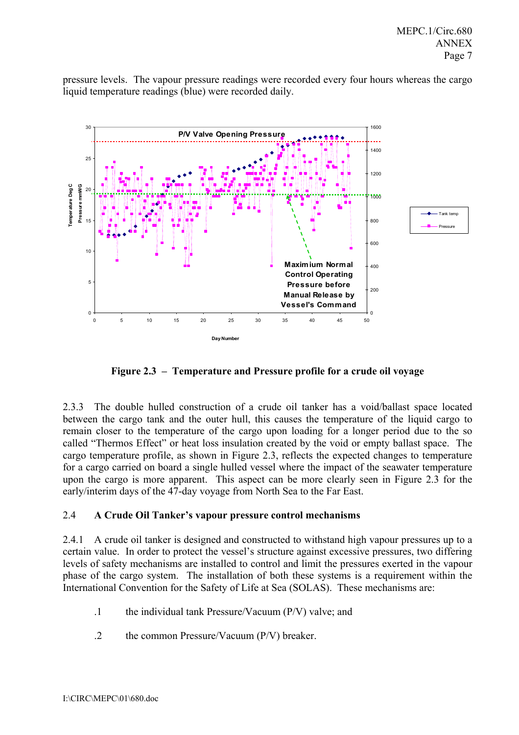pressure levels. The vapour pressure readings were recorded every four hours whereas the cargo liquid temperature readings (blue) were recorded daily.



**Figure 2.3 – Temperature and Pressure profile for a crude oil voyage** 

2.3.3 The double hulled construction of a crude oil tanker has a void/ballast space located between the cargo tank and the outer hull, this causes the temperature of the liquid cargo to remain closer to the temperature of the cargo upon loading for a longer period due to the so called "Thermos Effect" or heat loss insulation created by the void or empty ballast space. The cargo temperature profile, as shown in Figure 2.3, reflects the expected changes to temperature for a cargo carried on board a single hulled vessel where the impact of the seawater temperature upon the cargo is more apparent. This aspect can be more clearly seen in Figure 2.3 for the early/interim days of the 47-day voyage from North Sea to the Far East.

### 2.4 **A Crude Oil Tanker's vapour pressure control mechanisms**

2.4.1 A crude oil tanker is designed and constructed to withstand high vapour pressures up to a certain value. In order to protect the vessel's structure against excessive pressures, two differing levels of safety mechanisms are installed to control and limit the pressures exerted in the vapour phase of the cargo system. The installation of both these systems is a requirement within the International Convention for the Safety of Life at Sea (SOLAS). These mechanisms are:

- .1 the individual tank Pressure/Vacuum (P/V) valve; and
- .2 the common Pressure/Vacuum (P/V) breaker.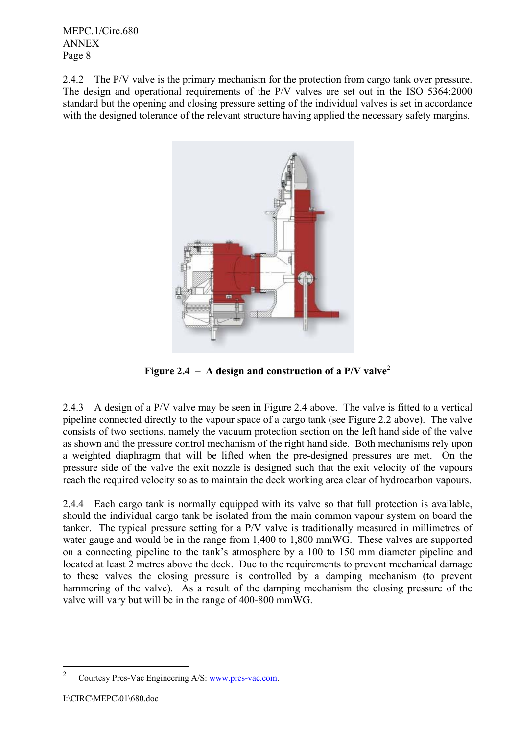2.4.2 The P/V valve is the primary mechanism for the protection from cargo tank over pressure. The design and operational requirements of the P/V valves are set out in the ISO 5364:2000 standard but the opening and closing pressure setting of the individual valves is set in accordance with the designed tolerance of the relevant structure having applied the necessary safety margins.



**Figure 2.4 – A design and construction of a P/V valve**<sup>2</sup>

2.4.3 A design of a P/V valve may be seen in Figure 2.4 above. The valve is fitted to a vertical pipeline connected directly to the vapour space of a cargo tank (see Figure 2.2 above). The valve consists of two sections, namely the vacuum protection section on the left hand side of the valve as shown and the pressure control mechanism of the right hand side. Both mechanisms rely upon a weighted diaphragm that will be lifted when the pre-designed pressures are met. On the pressure side of the valve the exit nozzle is designed such that the exit velocity of the vapours reach the required velocity so as to maintain the deck working area clear of hydrocarbon vapours.

2.4.4 Each cargo tank is normally equipped with its valve so that full protection is available, should the individual cargo tank be isolated from the main common vapour system on board the tanker. The typical pressure setting for a P/V valve is traditionally measured in millimetres of water gauge and would be in the range from 1,400 to 1,800 mmWG. These valves are supported on a connecting pipeline to the tank's atmosphere by a 100 to 150 mm diameter pipeline and located at least 2 metres above the deck. Due to the requirements to prevent mechanical damage to these valves the closing pressure is controlled by a damping mechanism (to prevent hammering of the valve). As a result of the damping mechanism the closing pressure of the valve will vary but will be in the range of 400-800 mmWG.

 $\frac{1}{2}$ Courtesy Pres-Vac Engineering A/S: www.pres-vac.com.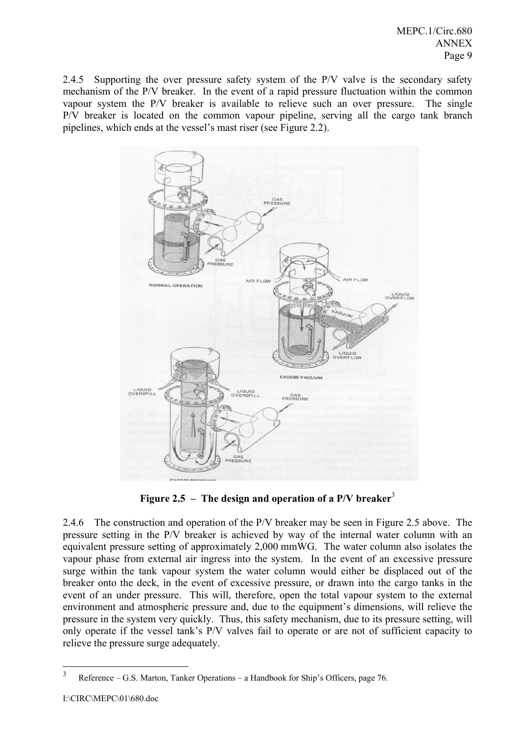2.4.5 Supporting the over pressure safety system of the P/V valve is the secondary safety mechanism of the P/V breaker. In the event of a rapid pressure fluctuation within the common vapour system the P/V breaker is available to relieve such an over pressure. The single P/V breaker is located on the common vapour pipeline, serving all the cargo tank branch pipelines, which ends at the vessel's mast riser (see Figure 2.2).



**Figure 2.5 – The design and operation of a P/V breaker**<sup>3</sup>

2.4.6 The construction and operation of the P/V breaker may be seen in Figure 2.5 above. The pressure setting in the P/V breaker is achieved by way of the internal water column with an equivalent pressure setting of approximately 2,000 mmWG. The water column also isolates the vapour phase from external air ingress into the system. In the event of an excessive pressure surge within the tank vapour system the water column would either be displaced out of the breaker onto the deck, in the event of excessive pressure, or drawn into the cargo tanks in the event of an under pressure. This will, therefore, open the total vapour system to the external environment and atmospheric pressure and, due to the equipment's dimensions, will relieve the pressure in the system very quickly. Thus, this safety mechanism, due to its pressure setting, will only operate if the vessel tank's P/V valves fail to operate or are not of sufficient capacity to relieve the pressure surge adequately.

 $\frac{1}{3}$ Reference – G.S. Marton, Tanker Operations – a Handbook for Ship's Officers, page 76.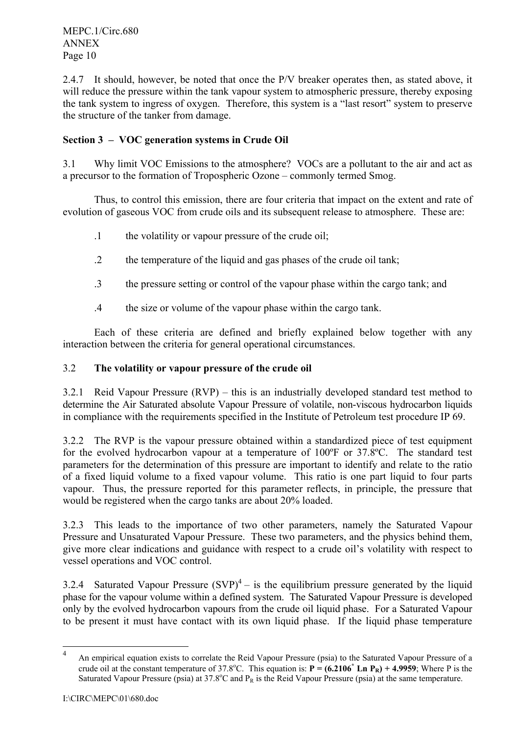2.4.7 It should, however, be noted that once the P/V breaker operates then, as stated above, it will reduce the pressure within the tank vapour system to atmospheric pressure, thereby exposing the tank system to ingress of oxygen. Therefore, this system is a "last resort" system to preserve the structure of the tanker from damage.

## **Section 3 – VOC generation systems in Crude Oil**

3.1 Why limit VOC Emissions to the atmosphere? VOCs are a pollutant to the air and act as a precursor to the formation of Tropospheric Ozone – commonly termed Smog.

Thus, to control this emission, there are four criteria that impact on the extent and rate of evolution of gaseous VOC from crude oils and its subsequent release to atmosphere. These are:

- .1 the volatility or vapour pressure of the crude oil;
- .2 the temperature of the liquid and gas phases of the crude oil tank;
- .3 the pressure setting or control of the vapour phase within the cargo tank; and
- .4 the size or volume of the vapour phase within the cargo tank.

Each of these criteria are defined and briefly explained below together with any interaction between the criteria for general operational circumstances.

### 3.2 **The volatility or vapour pressure of the crude oil**

3.2.1 Reid Vapour Pressure  $(RVP)$  – this is an industrially developed standard test method to determine the Air Saturated absolute Vapour Pressure of volatile, non-viscous hydrocarbon liquids in compliance with the requirements specified in the Institute of Petroleum test procedure IP 69.

3.2.2 The RVP is the vapour pressure obtained within a standardized piece of test equipment for the evolved hydrocarbon vapour at a temperature of 100ºF or 37.8ºC. The standard test parameters for the determination of this pressure are important to identify and relate to the ratio of a fixed liquid volume to a fixed vapour volume. This ratio is one part liquid to four parts vapour. Thus, the pressure reported for this parameter reflects, in principle, the pressure that would be registered when the cargo tanks are about 20% loaded.

3.2.3 This leads to the importance of two other parameters, namely the Saturated Vapour Pressure and Unsaturated Vapour Pressure. These two parameters, and the physics behind them, give more clear indications and guidance with respect to a crude oil's volatility with respect to vessel operations and VOC control.

3.2.4 Saturated Vapour Pressure  $(SVP)^4$  – is the equilibrium pressure generated by the liquid phase for the vapour volume within a defined system. The Saturated Vapour Pressure is developed only by the evolved hydrocarbon vapours from the crude oil liquid phase. For a Saturated Vapour to be present it must have contact with its own liquid phase. If the liquid phase temperature

 $\frac{1}{4}$  An empirical equation exists to correlate the Reid Vapour Pressure (psia) to the Saturated Vapour Pressure of a crude oil at the constant temperature of 37.8°C. This equation is:  $P = (6.2106^* \text{ Ln } P_R) + 4.9959$ ; Where P is the Saturated Vapour Pressure (psia) at  $37.8^{\circ}$ C and P<sub>R</sub> is the Reid Vapour Pressure (psia) at the same temperature.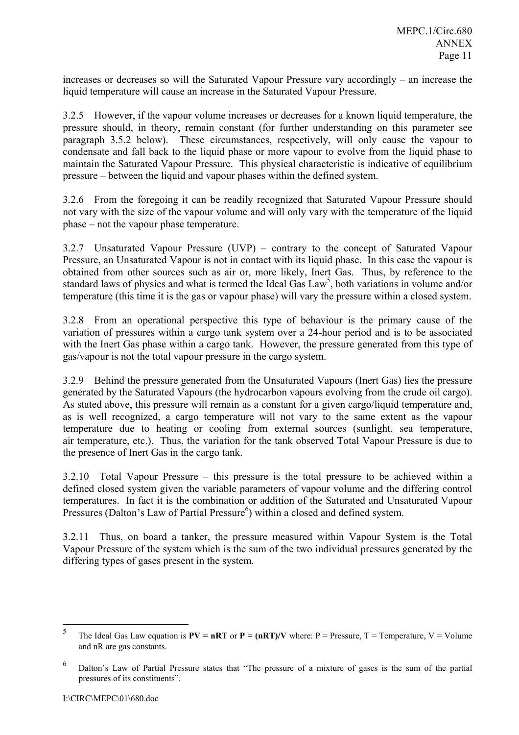increases or decreases so will the Saturated Vapour Pressure vary accordingly – an increase the liquid temperature will cause an increase in the Saturated Vapour Pressure.

3.2.5 However, if the vapour volume increases or decreases for a known liquid temperature, the pressure should, in theory, remain constant (for further understanding on this parameter see paragraph 3.5.2 below). These circumstances, respectively, will only cause the vapour to condensate and fall back to the liquid phase or more vapour to evolve from the liquid phase to maintain the Saturated Vapour Pressure. This physical characteristic is indicative of equilibrium pressure – between the liquid and vapour phases within the defined system.

3.2.6 From the foregoing it can be readily recognized that Saturated Vapour Pressure should not vary with the size of the vapour volume and will only vary with the temperature of the liquid phase – not the vapour phase temperature.

3.2.7 Unsaturated Vapour Pressure (UVP) – contrary to the concept of Saturated Vapour Pressure, an Unsaturated Vapour is not in contact with its liquid phase. In this case the vapour is obtained from other sources such as air or, more likely, Inert Gas. Thus, by reference to the standard laws of physics and what is termed the Ideal Gas  $Law<sup>5</sup>$ , both variations in volume and/or temperature (this time it is the gas or vapour phase) will vary the pressure within a closed system.

3.2.8 From an operational perspective this type of behaviour is the primary cause of the variation of pressures within a cargo tank system over a 24-hour period and is to be associated with the Inert Gas phase within a cargo tank. However, the pressure generated from this type of gas/vapour is not the total vapour pressure in the cargo system.

3.2.9 Behind the pressure generated from the Unsaturated Vapours (Inert Gas) lies the pressure generated by the Saturated Vapours (the hydrocarbon vapours evolving from the crude oil cargo). As stated above, this pressure will remain as a constant for a given cargo/liquid temperature and, as is well recognized, a cargo temperature will not vary to the same extent as the vapour temperature due to heating or cooling from external sources (sunlight, sea temperature, air temperature, etc.). Thus, the variation for the tank observed Total Vapour Pressure is due to the presence of Inert Gas in the cargo tank.

3.2.10 Total Vapour Pressure – this pressure is the total pressure to be achieved within a defined closed system given the variable parameters of vapour volume and the differing control temperatures. In fact it is the combination or addition of the Saturated and Unsaturated Vapour Pressures (Dalton's Law of Partial Pressure<sup>6</sup>) within a closed and defined system.

3.2.11 Thus, on board a tanker, the pressure measured within Vapour System is the Total Vapour Pressure of the system which is the sum of the two individual pressures generated by the differing types of gases present in the system.

 $\frac{1}{5}$ The Ideal Gas Law equation is  $PV = nRT$  or  $P = (nRT)/V$  where:  $P =$  Pressure,  $T =$  Temperature,  $V =$  Volume and nR are gas constants.

<sup>6</sup> Dalton's Law of Partial Pressure states that "The pressure of a mixture of gases is the sum of the partial pressures of its constituents".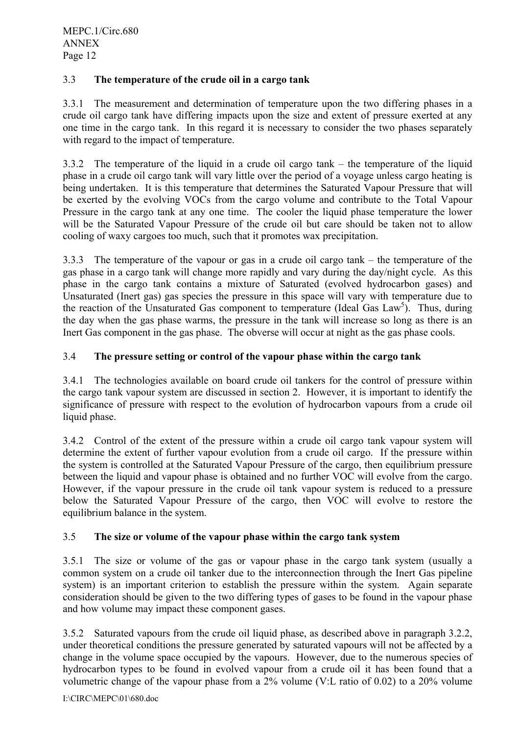# 3.3 **The temperature of the crude oil in a cargo tank**

3.3.1 The measurement and determination of temperature upon the two differing phases in a crude oil cargo tank have differing impacts upon the size and extent of pressure exerted at any one time in the cargo tank. In this regard it is necessary to consider the two phases separately with regard to the impact of temperature.

3.3.2 The temperature of the liquid in a crude oil cargo tank – the temperature of the liquid phase in a crude oil cargo tank will vary little over the period of a voyage unless cargo heating is being undertaken. It is this temperature that determines the Saturated Vapour Pressure that will be exerted by the evolving VOCs from the cargo volume and contribute to the Total Vapour Pressure in the cargo tank at any one time. The cooler the liquid phase temperature the lower will be the Saturated Vapour Pressure of the crude oil but care should be taken not to allow cooling of waxy cargoes too much, such that it promotes wax precipitation.

3.3.3 The temperature of the vapour or gas in a crude oil cargo tank – the temperature of the gas phase in a cargo tank will change more rapidly and vary during the day/night cycle. As this phase in the cargo tank contains a mixture of Saturated (evolved hydrocarbon gases) and Unsaturated (Inert gas) gas species the pressure in this space will vary with temperature due to the reaction of the Unsaturated Gas component to temperature (Ideal Gas Law<sup>5</sup>). Thus, during the day when the gas phase warms, the pressure in the tank will increase so long as there is an Inert Gas component in the gas phase. The obverse will occur at night as the gas phase cools.

### 3.4 **The pressure setting or control of the vapour phase within the cargo tank**

3.4.1 The technologies available on board crude oil tankers for the control of pressure within the cargo tank vapour system are discussed in section 2. However, it is important to identify the significance of pressure with respect to the evolution of hydrocarbon vapours from a crude oil liquid phase.

3.4.2 Control of the extent of the pressure within a crude oil cargo tank vapour system will determine the extent of further vapour evolution from a crude oil cargo. If the pressure within the system is controlled at the Saturated Vapour Pressure of the cargo, then equilibrium pressure between the liquid and vapour phase is obtained and no further VOC will evolve from the cargo. However, if the vapour pressure in the crude oil tank vapour system is reduced to a pressure below the Saturated Vapour Pressure of the cargo, then VOC will evolve to restore the equilibrium balance in the system.

### 3.5 **The size or volume of the vapour phase within the cargo tank system**

3.5.1 The size or volume of the gas or vapour phase in the cargo tank system (usually a common system on a crude oil tanker due to the interconnection through the Inert Gas pipeline system) is an important criterion to establish the pressure within the system. Again separate consideration should be given to the two differing types of gases to be found in the vapour phase and how volume may impact these component gases.

3.5.2 Saturated vapours from the crude oil liquid phase, as described above in paragraph 3.2.2, under theoretical conditions the pressure generated by saturated vapours will not be affected by a change in the volume space occupied by the vapours. However, due to the numerous species of hydrocarbon types to be found in evolved vapour from a crude oil it has been found that a volumetric change of the vapour phase from a 2% volume (V:L ratio of 0.02) to a 20% volume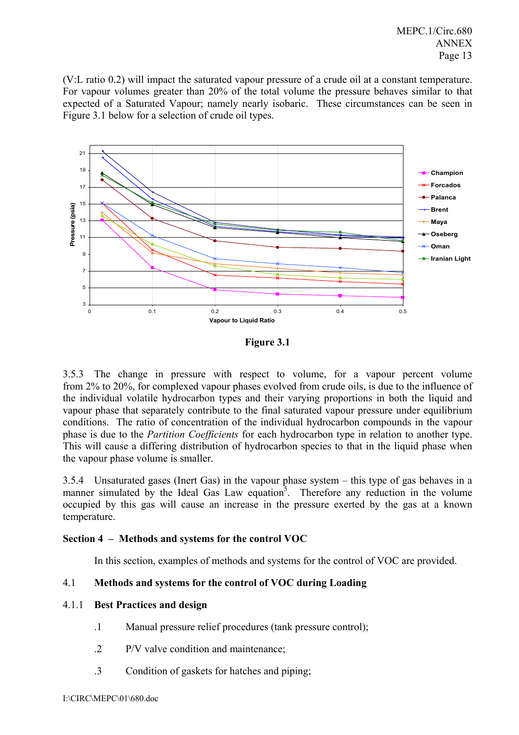(V:L ratio 0.2) will impact the saturated vapour pressure of a crude oil at a constant temperature. For vapour volumes greater than 20% of the total volume the pressure behaves similar to that expected of a Saturated Vapour; namely nearly isobaric. These circumstances can be seen in Figure 3.1 below for a selection of crude oil types.



**Figure 3.1** 

3.5.3 The change in pressure with respect to volume, for a vapour percent volume from 2% to 20%, for complexed vapour phases evolved from crude oils, is due to the influence of the individual volatile hydrocarbon types and their varying proportions in both the liquid and vapour phase that separately contribute to the final saturated vapour pressure under equilibrium conditions. The ratio of concentration of the individual hydrocarbon compounds in the vapour phase is due to the *Partition Coefficients* for each hydrocarbon type in relation to another type. This will cause a differing distribution of hydrocarbon species to that in the liquid phase when the vapour phase volume is smaller.

3.5.4 Unsaturated gases (Inert Gas) in the vapour phase system – this type of gas behaves in a manner simulated by the Ideal Gas Law equation<sup>5</sup>. Therefore any reduction in the volume occupied by this gas will cause an increase in the pressure exerted by the gas at a known temperature.

### **Section 4 – Methods and systems for the control VOC**

In this section, examples of methods and systems for the control of VOC are provided.

### 4.1 **Methods and systems for the control of VOC during Loading**

#### 4.1.1 **Best Practices and design**

- .1 Manual pressure relief procedures (tank pressure control);
- .2 P/V valve condition and maintenance;
- .3 Condition of gaskets for hatches and piping;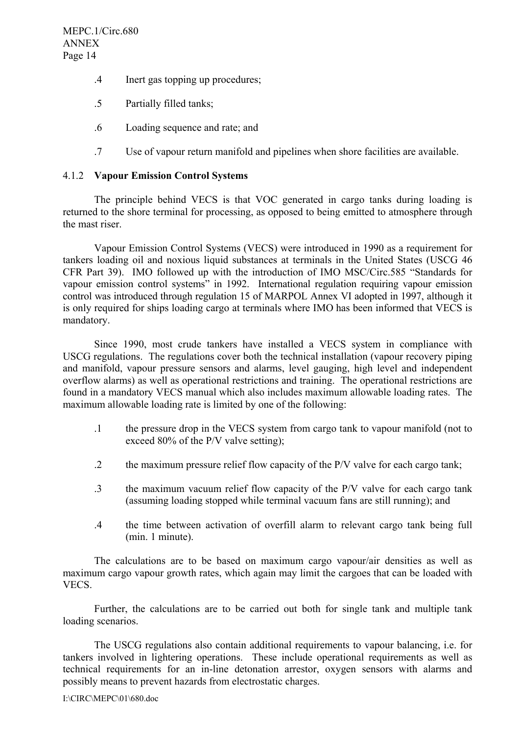- .4 Inert gas topping up procedures;
- .5 Partially filled tanks;
- .6 Loading sequence and rate; and
- .7 Use of vapour return manifold and pipelines when shore facilities are available.

#### 4.1.2 **Vapour Emission Control Systems**

The principle behind VECS is that VOC generated in cargo tanks during loading is returned to the shore terminal for processing, as opposed to being emitted to atmosphere through the mast riser.

Vapour Emission Control Systems (VECS) were introduced in 1990 as a requirement for tankers loading oil and noxious liquid substances at terminals in the United States (USCG 46 CFR Part 39). IMO followed up with the introduction of IMO MSC/Circ.585 "Standards for vapour emission control systems" in 1992. International regulation requiring vapour emission control was introduced through regulation 15 of MARPOL Annex VI adopted in 1997, although it is only required for ships loading cargo at terminals where IMO has been informed that VECS is mandatory.

Since 1990, most crude tankers have installed a VECS system in compliance with USCG regulations. The regulations cover both the technical installation (vapour recovery piping and manifold, vapour pressure sensors and alarms, level gauging, high level and independent overflow alarms) as well as operational restrictions and training. The operational restrictions are found in a mandatory VECS manual which also includes maximum allowable loading rates. The maximum allowable loading rate is limited by one of the following:

- .1 the pressure drop in the VECS system from cargo tank to vapour manifold (not to exceed 80% of the P/V valve setting);
- .2 the maximum pressure relief flow capacity of the P/V valve for each cargo tank;
- .3 the maximum vacuum relief flow capacity of the P/V valve for each cargo tank (assuming loading stopped while terminal vacuum fans are still running); and
- .4 the time between activation of overfill alarm to relevant cargo tank being full (min. 1 minute).

The calculations are to be based on maximum cargo vapour/air densities as well as maximum cargo vapour growth rates, which again may limit the cargoes that can be loaded with VECS.

Further, the calculations are to be carried out both for single tank and multiple tank loading scenarios.

The USCG regulations also contain additional requirements to vapour balancing, i.e. for tankers involved in lightering operations. These include operational requirements as well as technical requirements for an in-line detonation arrestor, oxygen sensors with alarms and possibly means to prevent hazards from electrostatic charges.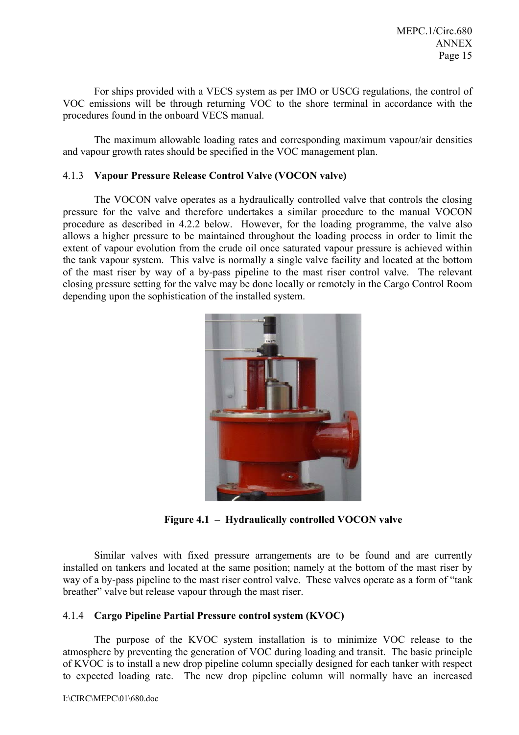For ships provided with a VECS system as per IMO or USCG regulations, the control of VOC emissions will be through returning VOC to the shore terminal in accordance with the procedures found in the onboard VECS manual.

The maximum allowable loading rates and corresponding maximum vapour/air densities and vapour growth rates should be specified in the VOC management plan.

#### 4.1.3 **Vapour Pressure Release Control Valve (VOCON valve)**

The VOCON valve operates as a hydraulically controlled valve that controls the closing pressure for the valve and therefore undertakes a similar procedure to the manual VOCON procedure as described in 4.2.2 below. However, for the loading programme, the valve also allows a higher pressure to be maintained throughout the loading process in order to limit the extent of vapour evolution from the crude oil once saturated vapour pressure is achieved within the tank vapour system. This valve is normally a single valve facility and located at the bottom of the mast riser by way of a by-pass pipeline to the mast riser control valve. The relevant closing pressure setting for the valve may be done locally or remotely in the Cargo Control Room depending upon the sophistication of the installed system.



**Figure 4.1 – Hydraulically controlled VOCON valve** 

Similar valves with fixed pressure arrangements are to be found and are currently installed on tankers and located at the same position; namely at the bottom of the mast riser by way of a by-pass pipeline to the mast riser control valve. These valves operate as a form of "tank breather" valve but release vapour through the mast riser.

### 4.1.4 **Cargo Pipeline Partial Pressure control system (KVOC)**

The purpose of the KVOC system installation is to minimize VOC release to the atmosphere by preventing the generation of VOC during loading and transit. The basic principle of KVOC is to install a new drop pipeline column specially designed for each tanker with respect to expected loading rate. The new drop pipeline column will normally have an increased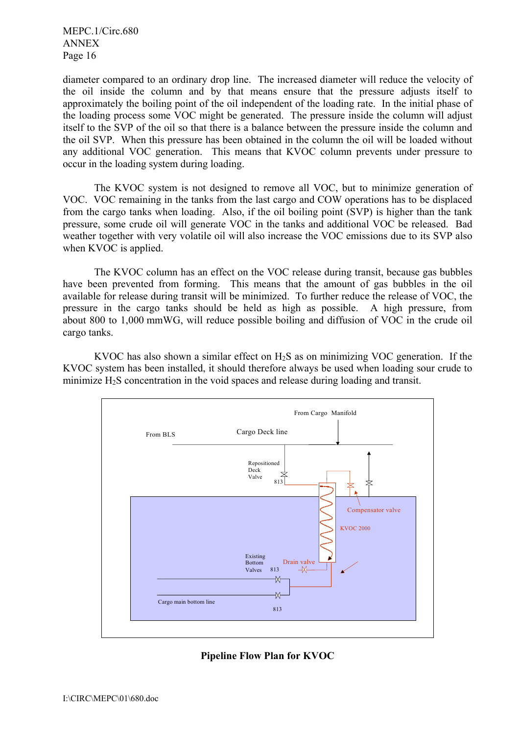diameter compared to an ordinary drop line. The increased diameter will reduce the velocity of the oil inside the column and by that means ensure that the pressure adjusts itself to approximately the boiling point of the oil independent of the loading rate. In the initial phase of the loading process some VOC might be generated. The pressure inside the column will adjust itself to the SVP of the oil so that there is a balance between the pressure inside the column and the oil SVP. When this pressure has been obtained in the column the oil will be loaded without any additional VOC generation. This means that KVOC column prevents under pressure to occur in the loading system during loading.

The KVOC system is not designed to remove all VOC, but to minimize generation of VOC. VOC remaining in the tanks from the last cargo and COW operations has to be displaced from the cargo tanks when loading. Also, if the oil boiling point (SVP) is higher than the tank pressure, some crude oil will generate VOC in the tanks and additional VOC be released. Bad weather together with very volatile oil will also increase the VOC emissions due to its SVP also when KVOC is applied.

The KVOC column has an effect on the VOC release during transit, because gas bubbles have been prevented from forming. This means that the amount of gas bubbles in the oil available for release during transit will be minimized. To further reduce the release of VOC, the pressure in the cargo tanks should be held as high as possible. A high pressure, from about 800 to 1,000 mmWG, will reduce possible boiling and diffusion of VOC in the crude oil cargo tanks.

KVOC has also shown a similar effect on  $H_2S$  as on minimizing VOC generation. If the KVOC system has been installed, it should therefore always be used when loading sour crude to minimize  $H_2S$  concentration in the void spaces and release during loading and transit.



#### **Pipeline Flow Plan for KVOC**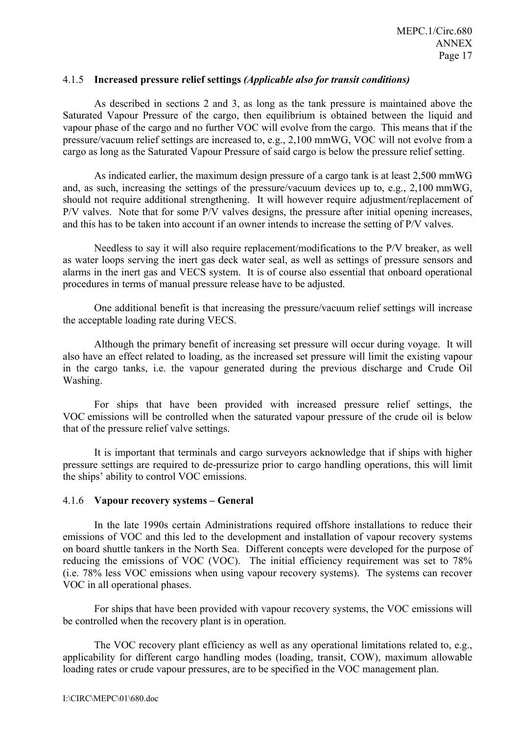#### 4.1.5 **Increased pressure relief settings** *(Applicable also for transit conditions)*

As described in sections 2 and 3, as long as the tank pressure is maintained above the Saturated Vapour Pressure of the cargo, then equilibrium is obtained between the liquid and vapour phase of the cargo and no further VOC will evolve from the cargo. This means that if the pressure/vacuum relief settings are increased to, e.g., 2,100 mmWG, VOC will not evolve from a cargo as long as the Saturated Vapour Pressure of said cargo is below the pressure relief setting.

As indicated earlier, the maximum design pressure of a cargo tank is at least 2,500 mmWG and, as such, increasing the settings of the pressure/vacuum devices up to, e.g., 2,100 mmWG, should not require additional strengthening. It will however require adjustment/replacement of P/V valves. Note that for some P/V valves designs, the pressure after initial opening increases, and this has to be taken into account if an owner intends to increase the setting of P/V valves.

Needless to say it will also require replacement/modifications to the P/V breaker, as well as water loops serving the inert gas deck water seal, as well as settings of pressure sensors and alarms in the inert gas and VECS system. It is of course also essential that onboard operational procedures in terms of manual pressure release have to be adjusted.

One additional benefit is that increasing the pressure/vacuum relief settings will increase the acceptable loading rate during VECS.

Although the primary benefit of increasing set pressure will occur during voyage. It will also have an effect related to loading, as the increased set pressure will limit the existing vapour in the cargo tanks, i.e. the vapour generated during the previous discharge and Crude Oil Washing.

For ships that have been provided with increased pressure relief settings, the VOC emissions will be controlled when the saturated vapour pressure of the crude oil is below that of the pressure relief valve settings.

It is important that terminals and cargo surveyors acknowledge that if ships with higher pressure settings are required to de-pressurize prior to cargo handling operations, this will limit the ships' ability to control VOC emissions.

#### 4.1.6 **Vapour recovery systems – General**

In the late 1990s certain Administrations required offshore installations to reduce their emissions of VOC and this led to the development and installation of vapour recovery systems on board shuttle tankers in the North Sea. Different concepts were developed for the purpose of reducing the emissions of VOC (VOC). The initial efficiency requirement was set to 78% (i.e. 78% less VOC emissions when using vapour recovery systems). The systems can recover VOC in all operational phases.

For ships that have been provided with vapour recovery systems, the VOC emissions will be controlled when the recovery plant is in operation.

The VOC recovery plant efficiency as well as any operational limitations related to, e.g., applicability for different cargo handling modes (loading, transit, COW), maximum allowable loading rates or crude vapour pressures, are to be specified in the VOC management plan.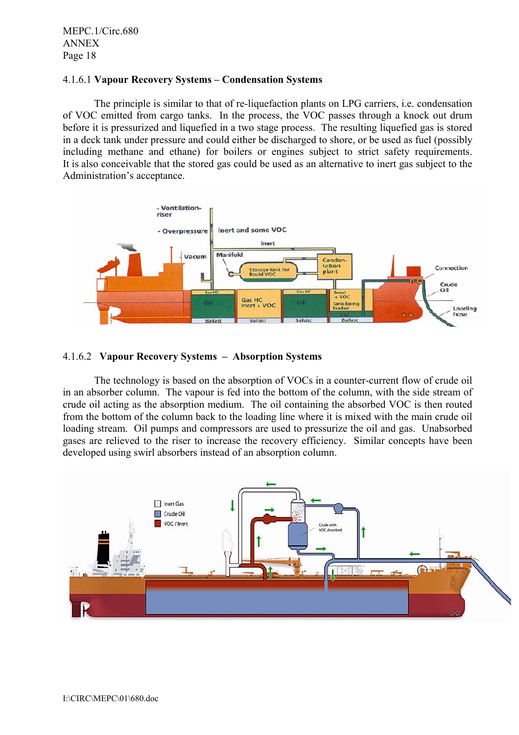### 4.1.6.1 **Vapour Recovery Systems – Condensation Systems**

The principle is similar to that of re-liquefaction plants on LPG carriers, i.e. condensation of VOC emitted from cargo tanks. In the process, the VOC passes through a knock out drum before it is pressurized and liquefied in a two stage process. The resulting liquefied gas is stored in a deck tank under pressure and could either be discharged to shore, or be used as fuel (possibly including methane and ethane) for boilers or engines subject to strict safety requirements. It is also conceivable that the stored gas could be used as an alternative to inert gas subject to the Administration's acceptance.



#### 4.1.6.2 **Vapour Recovery Systems – Absorption Systems**

The technology is based on the absorption of VOCs in a counter-current flow of crude oil in an absorber column. The vapour is fed into the bottom of the column, with the side stream of crude oil acting as the absorption medium. The oil containing the absorbed VOC is then routed from the bottom of the column back to the loading line where it is mixed with the main crude oil loading stream. Oil pumps and compressors are used to pressurize the oil and gas. Unabsorbed gases are relieved to the riser to increase the recovery efficiency. Similar concepts have been developed using swirl absorbers instead of an absorption column.

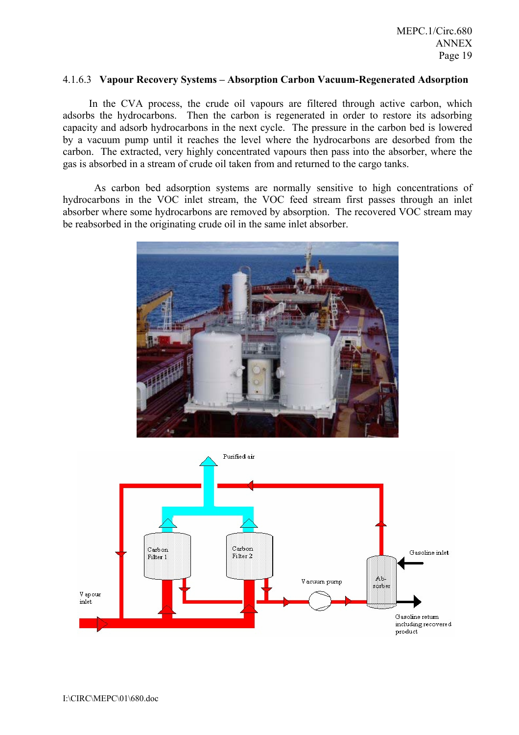#### 4.1.6.3 **Vapour Recovery Systems – Absorption Carbon Vacuum-Regenerated Adsorption**

In the CVA process, the crude oil vapours are filtered through active carbon, which adsorbs the hydrocarbons. Then the carbon is regenerated in order to restore its adsorbing capacity and adsorb hydrocarbons in the next cycle. The pressure in the carbon bed is lowered by a vacuum pump until it reaches the level where the hydrocarbons are desorbed from the carbon. The extracted, very highly concentrated vapours then pass into the absorber, where the gas is absorbed in a stream of crude oil taken from and returned to the cargo tanks.

 As carbon bed adsorption systems are normally sensitive to high concentrations of hydrocarbons in the VOC inlet stream, the VOC feed stream first passes through an inlet absorber where some hydrocarbons are removed by absorption. The recovered VOC stream may be reabsorbed in the originating crude oil in the same inlet absorber.



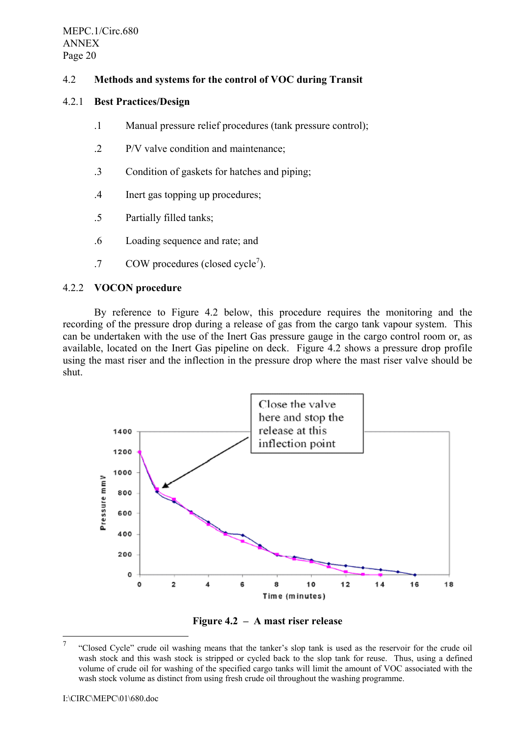## 4.2 **Methods and systems for the control of VOC during Transit**

### 4.2.1 **Best Practices/Design**

- .1 Manual pressure relief procedures (tank pressure control);
- .2 P/V valve condition and maintenance;
- .3 Condition of gaskets for hatches and piping;
- .4 Inert gas topping up procedures;
- .5 Partially filled tanks;
- .6 Loading sequence and rate; and
- $.7$  COW procedures (closed cycle<sup>7</sup>).

### 4.2.2 **VOCON procedure**

By reference to Figure 4.2 below, this procedure requires the monitoring and the recording of the pressure drop during a release of gas from the cargo tank vapour system. This can be undertaken with the use of the Inert Gas pressure gauge in the cargo control room or, as available, located on the Inert Gas pipeline on deck. Figure 4.2 shows a pressure drop profile using the mast riser and the inflection in the pressure drop where the mast riser valve should be shut.



**Figure 4.2 – A mast riser release**

<sup>7</sup>  "Closed Cycle" crude oil washing means that the tanker's slop tank is used as the reservoir for the crude oil wash stock and this wash stock is stripped or cycled back to the slop tank for reuse. Thus, using a defined volume of crude oil for washing of the specified cargo tanks will limit the amount of VOC associated with the wash stock volume as distinct from using fresh crude oil throughout the washing programme.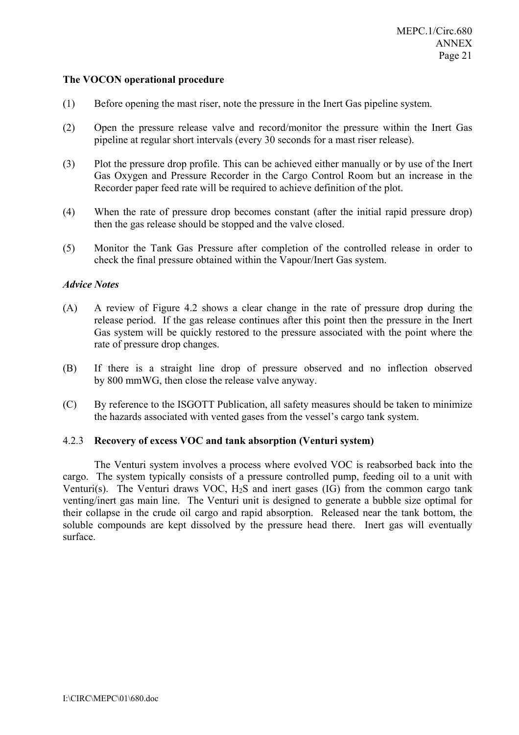#### **The VOCON operational procedure**

- (1) Before opening the mast riser, note the pressure in the Inert Gas pipeline system.
- (2) Open the pressure release valve and record/monitor the pressure within the Inert Gas pipeline at regular short intervals (every 30 seconds for a mast riser release).
- (3) Plot the pressure drop profile. This can be achieved either manually or by use of the Inert Gas Oxygen and Pressure Recorder in the Cargo Control Room but an increase in the Recorder paper feed rate will be required to achieve definition of the plot.
- (4) When the rate of pressure drop becomes constant (after the initial rapid pressure drop) then the gas release should be stopped and the valve closed.
- (5) Monitor the Tank Gas Pressure after completion of the controlled release in order to check the final pressure obtained within the Vapour/Inert Gas system.

#### *Advice Notes*

- (A) A review of Figure 4.2 shows a clear change in the rate of pressure drop during the release period. If the gas release continues after this point then the pressure in the Inert Gas system will be quickly restored to the pressure associated with the point where the rate of pressure drop changes.
- (B) If there is a straight line drop of pressure observed and no inflection observed by 800 mmWG, then close the release valve anyway.
- (C) By reference to the ISGOTT Publication, all safety measures should be taken to minimize the hazards associated with vented gases from the vessel's cargo tank system.

#### 4.2.3 **Recovery of excess VOC and tank absorption (Venturi system)**

The Venturi system involves a process where evolved VOC is reabsorbed back into the cargo. The system typically consists of a pressure controlled pump, feeding oil to a unit with Venturi(s). The Venturi draws VOC,  $H_2S$  and inert gases (IG) from the common cargo tank venting/inert gas main line. The Venturi unit is designed to generate a bubble size optimal for their collapse in the crude oil cargo and rapid absorption. Released near the tank bottom, the soluble compounds are kept dissolved by the pressure head there. Inert gas will eventually surface.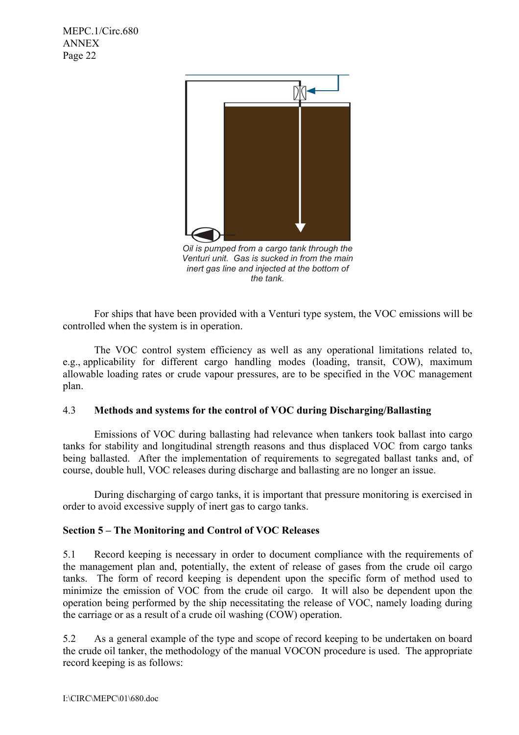

*Oil is pumped from a cargo tank through the Venturi unit. Gas is sucked in from the main inert gas line and injected at the bottom of the tank.* 

For ships that have been provided with a Venturi type system, the VOC emissions will be controlled when the system is in operation.

The VOC control system efficiency as well as any operational limitations related to, e.g., applicability for different cargo handling modes (loading, transit, COW), maximum allowable loading rates or crude vapour pressures, are to be specified in the VOC management plan.

#### 4.3 **Methods and systems for the control of VOC during Discharging/Ballasting**

Emissions of VOC during ballasting had relevance when tankers took ballast into cargo tanks for stability and longitudinal strength reasons and thus displaced VOC from cargo tanks being ballasted. After the implementation of requirements to segregated ballast tanks and, of course, double hull, VOC releases during discharge and ballasting are no longer an issue.

During discharging of cargo tanks, it is important that pressure monitoring is exercised in order to avoid excessive supply of inert gas to cargo tanks.

### **Section 5 – The Monitoring and Control of VOC Releases**

5.1 Record keeping is necessary in order to document compliance with the requirements of the management plan and, potentially, the extent of release of gases from the crude oil cargo tanks. The form of record keeping is dependent upon the specific form of method used to minimize the emission of VOC from the crude oil cargo. It will also be dependent upon the operation being performed by the ship necessitating the release of VOC, namely loading during the carriage or as a result of a crude oil washing (COW) operation.

5.2 As a general example of the type and scope of record keeping to be undertaken on board the crude oil tanker, the methodology of the manual VOCON procedure is used. The appropriate record keeping is as follows: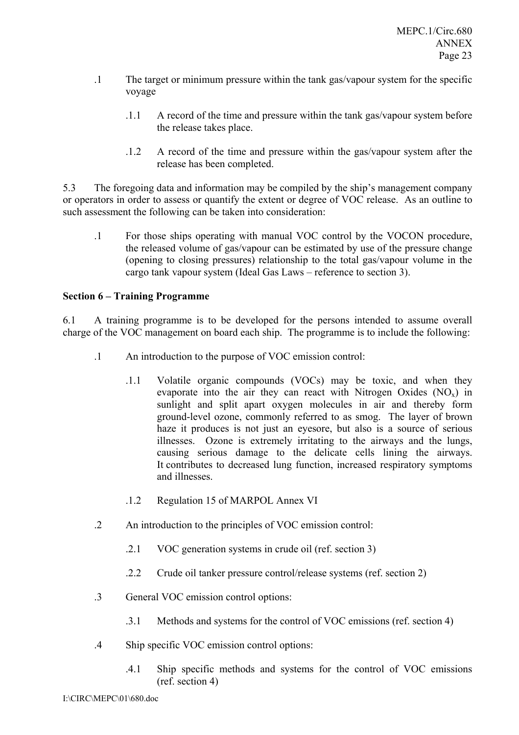- .1 The target or minimum pressure within the tank gas/vapour system for the specific voyage
	- .1.1 A record of the time and pressure within the tank gas/vapour system before the release takes place.
	- .1.2 A record of the time and pressure within the gas/vapour system after the release has been completed.

5.3 The foregoing data and information may be compiled by the ship's management company or operators in order to assess or quantify the extent or degree of VOC release. As an outline to such assessment the following can be taken into consideration:

.1 For those ships operating with manual VOC control by the VOCON procedure, the released volume of gas/vapour can be estimated by use of the pressure change (opening to closing pressures) relationship to the total gas/vapour volume in the cargo tank vapour system (Ideal Gas Laws – reference to section 3).

### **Section 6 – Training Programme**

6.1 A training programme is to be developed for the persons intended to assume overall charge of the VOC management on board each ship. The programme is to include the following:

- .1 An introduction to the purpose of VOC emission control:
	- .1.1 Volatile organic compounds (VOCs) may be toxic, and when they evaporate into the air they can react with Nitrogen Oxides  $(NO<sub>x</sub>)$  in sunlight and split apart oxygen molecules in air and thereby form ground-level ozone, commonly referred to as smog. The layer of brown haze it produces is not just an eyesore, but also is a source of serious illnesses. Ozone is extremely irritating to the airways and the lungs, causing serious damage to the delicate cells lining the airways. It contributes to decreased lung function, increased respiratory symptoms and illnesses.
	- .1.2 Regulation 15 of MARPOL Annex VI
- .2 An introduction to the principles of VOC emission control:
	- .2.1 VOC generation systems in crude oil (ref. section 3)
	- .2.2 Crude oil tanker pressure control/release systems (ref. section 2)
- .3 General VOC emission control options:
	- .3.1 Methods and systems for the control of VOC emissions (ref. section 4)
- .4 Ship specific VOC emission control options:
	- .4.1 Ship specific methods and systems for the control of VOC emissions (ref. section 4)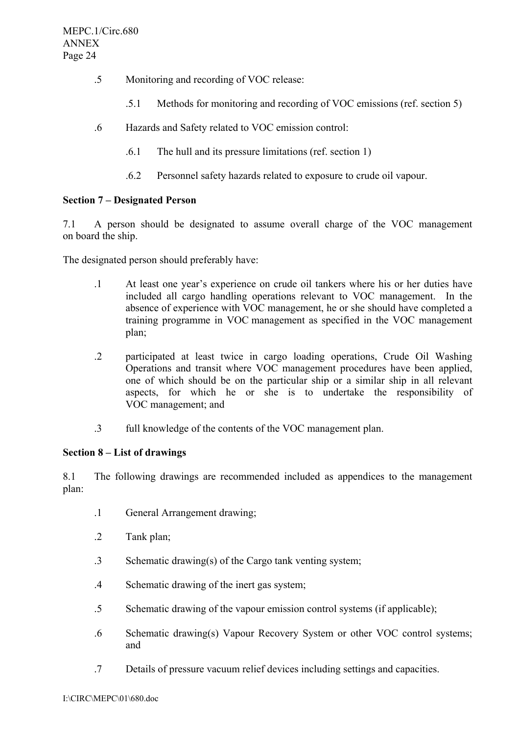- .5 Monitoring and recording of VOC release:
	- .5.1 Methods for monitoring and recording of VOC emissions (ref. section 5)
- .6 Hazards and Safety related to VOC emission control:
	- .6.1 The hull and its pressure limitations (ref. section 1)
	- .6.2 Personnel safety hazards related to exposure to crude oil vapour.

# **Section 7 – Designated Person**

7.1 A person should be designated to assume overall charge of the VOC management on board the ship.

The designated person should preferably have:

- .1 At least one year's experience on crude oil tankers where his or her duties have included all cargo handling operations relevant to VOC management. In the absence of experience with VOC management, he or she should have completed a training programme in VOC management as specified in the VOC management plan;
- .2 participated at least twice in cargo loading operations, Crude Oil Washing Operations and transit where VOC management procedures have been applied, one of which should be on the particular ship or a similar ship in all relevant aspects, for which he or she is to undertake the responsibility of VOC management; and
- .3 full knowledge of the contents of the VOC management plan.

# **Section 8 – List of drawings**

8.1 The following drawings are recommended included as appendices to the management plan:

- .1 General Arrangement drawing;
- .2 Tank plan;
- .3 Schematic drawing(s) of the Cargo tank venting system;
- .4 Schematic drawing of the inert gas system;
- .5 Schematic drawing of the vapour emission control systems (if applicable);
- .6 Schematic drawing(s) Vapour Recovery System or other VOC control systems; and
- .7 Details of pressure vacuum relief devices including settings and capacities.